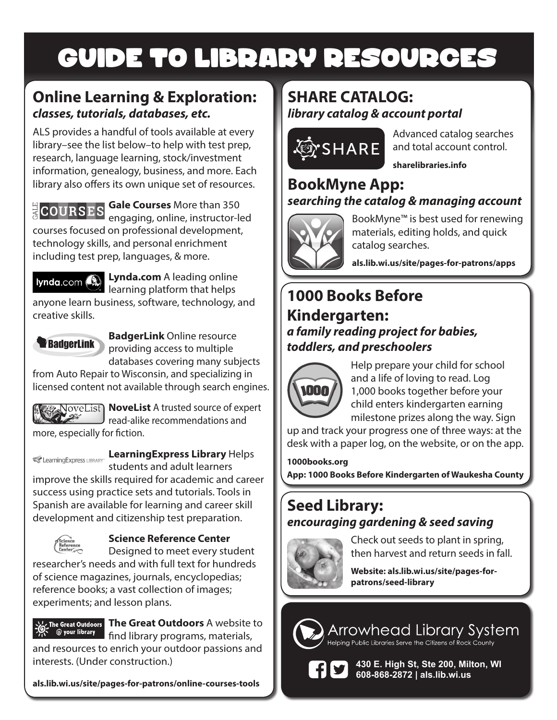# GUIDE TO LIBRARY RESOURCES

### **Online Learning & Exploration:** *classes, tutorials, databases, etc.*

ALS provides a handful of tools available at every library–see the list below–to help with test prep, research, language learning, stock/investment information, genealogy, business, and more. Each library also offers its own unique set of resources.

# **ECOURSES**

**Gale Courses** More than 350 engaging, online, instructor-led

courses focused on professional development, technology skills, and personal enrichment including test prep, languages, & more.

**Lynda.com A** leading online learning platform that helps

anyone learn business, software, technology, and creative skills.



**BadgerLink** Online resource providing access to multiple databases covering many subjects

from Auto Repair to Wisconsin, and specializing in licensed content not available through search engines.



**NoveList** A trusted source of expert read-alike recommendations and more, especially for fiction.

# **Learning Express LIBRARY:** Learning Express Library Helps

students and adult learners improve the skills required for academic and career success using practice sets and tutorials. Tools in Spanish are available for learning and career skill development and citizenship test preparation.



#### **Science Reference Center**

Designed to meet every student researcher's needs and with full text for hundreds of science magazines, journals, encyclopedias; reference books; a vast collection of images; experiments; and lesson plans.



**The Great Outdoors** A website to find library programs, materials,

and resources to enrich your outdoor passions and interests. (Under construction.)

**als.lib.wi.us/site/pages-for-patrons/online-courses-tools**

### **SHARE CATALOG:** *library catalog & account portal*



Advanced catalog searches and total account control.

**sharelibraries.info**

#### **BookMyne App:** *searching the catalog & managing account*



BookMyne™ is best used for renewing materials, editing holds, and quick catalog searches.

**als.lib.wi.us/site/pages-for-patrons/apps**

# **1000 Books Before Kindergarten:** *a family reading project for babies, toddlers, and preschoolers*



Help prepare your child for school and a life of loving to read. Log 1,000 books together before your child enters kindergarten earning milestone prizes along the way. Sign

up and track your progress one of three ways: at the desk with a paper log, on the website, or on the app.

**1000books.org**

**App: 1000 Books Before Kindergarten of Waukesha County**

## **Seed Library:**  *encouraging gardening & seed saving*



Check out seeds to plant in spring, then harvest and return seeds in fall.

**Website: als.lib.wi.us/site/pages-forpatrons/seed-library**

# Arrowhead Library System



**430 E. High St, Ste 200, Milton, WI 608-868-2872 | als.lib.wi.us**